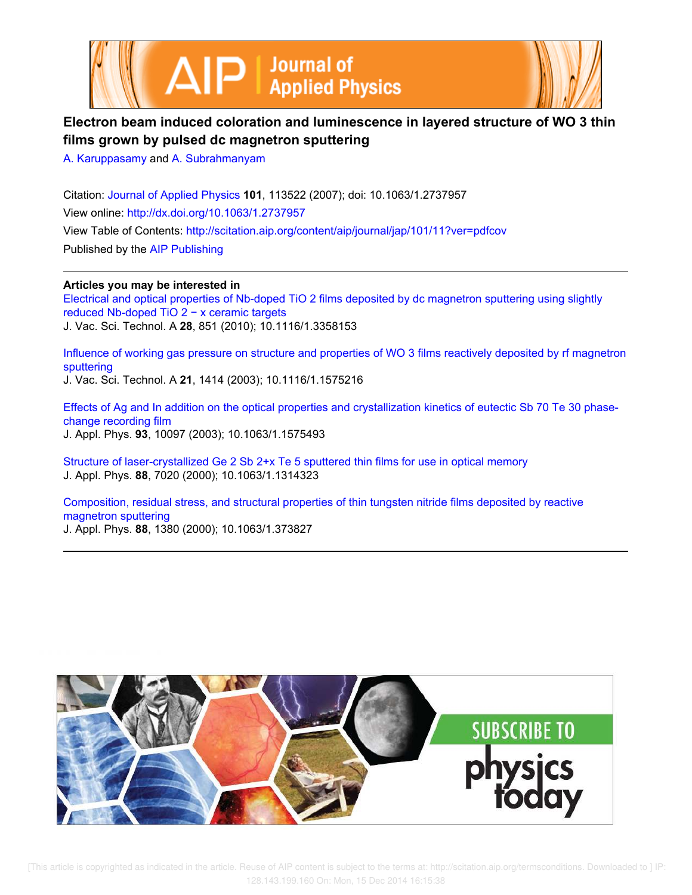



## **Electron beam induced coloration and luminescence in layered structure of WO 3 thin films grown by pulsed dc magnetron sputtering**

A. Karuppasamy and A. Subrahmanyam

Citation: Journal of Applied Physics **101**, 113522 (2007); doi: 10.1063/1.2737957 View online: http://dx.doi.org/10.1063/1.2737957 View Table of Contents: http://scitation.aip.org/content/aip/journal/jap/101/11?ver=pdfcov Published by the AIP Publishing

## **Articles you may be interested in**

Electrical and optical properties of Nb-doped TiO 2 films deposited by dc magnetron sputtering using slightly reduced Nb-doped TiO 2 − x ceramic targets J. Vac. Sci. Technol. A **28**, 851 (2010); 10.1116/1.3358153

Influence of working gas pressure on structure and properties of WO 3 films reactively deposited by rf magnetron sputtering

J. Vac. Sci. Technol. A **21**, 1414 (2003); 10.1116/1.1575216

Effects of Ag and In addition on the optical properties and crystallization kinetics of eutectic Sb 70 Te 30 phasechange recording film J. Appl. Phys. **93**, 10097 (2003); 10.1063/1.1575493

Structure of laser-crystallized Ge 2 Sb 2+x Te 5 sputtered thin films for use in optical memory J. Appl. Phys. **88**, 7020 (2000); 10.1063/1.1314323

Composition, residual stress, and structural properties of thin tungsten nitride films deposited by reactive magnetron sputtering J. Appl. Phys. **88**, 1380 (2000); 10.1063/1.373827

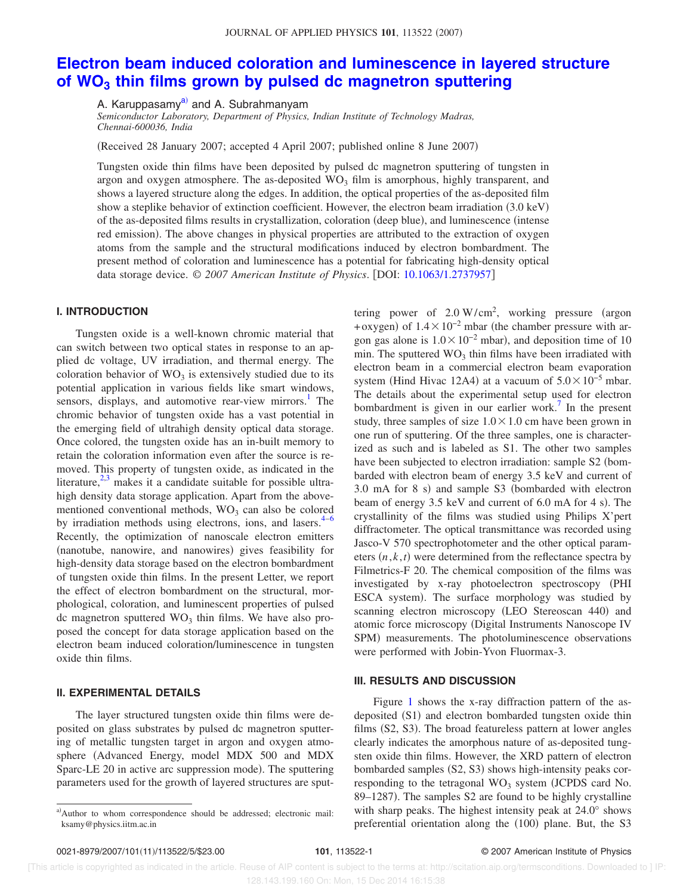#### JOURNAL OF APPLIED PHYSICS 101, 113522 (2007)

# **Electron beam induced coloration and luminescence in layered structure of WO<sup>3</sup> thin films grown by pulsed dc magnetron sputtering**

A. Karuppasamy<sup>a)</sup> and A. Subrahmanyam

*Semiconductor Laboratory, Department of Physics, Indian Institute of Technology Madras, Chennai-600036, India*

Received 28 January 2007; accepted 4 April 2007; published online 8 June 2007-

Tungsten oxide thin films have been deposited by pulsed dc magnetron sputtering of tungsten in argon and oxygen atmosphere. The as-deposited  $WO<sub>3</sub>$  film is amorphous, highly transparent, and shows a layered structure along the edges. In addition, the optical properties of the as-deposited film show a steplike behavior of extinction coefficient. However, the electron beam irradiation (3.0 keV) of the as-deposited films results in crystallization, coloration (deep blue), and luminescence (intense red emission). The above changes in physical properties are attributed to the extraction of oxygen atoms from the sample and the structural modifications induced by electron bombardment. The present method of coloration and luminescence has a potential for fabricating high-density optical data storage device. © *2007 American Institute of Physics*. DOI: 10.1063/1.2737957

## **I. INTRODUCTION**

Tungsten oxide is a well-known chromic material that can switch between two optical states in response to an applied dc voltage, UV irradiation, and thermal energy. The coloration behavior of  $WO<sub>3</sub>$  is extensively studied due to its potential application in various fields like smart windows, sensors, displays, and automotive rear-view mirrors.<sup>1</sup> The chromic behavior of tungsten oxide has a vast potential in the emerging field of ultrahigh density optical data storage. Once colored, the tungsten oxide has an in-built memory to retain the coloration information even after the source is removed. This property of tungsten oxide, as indicated in the literature, $2,3$  makes it a candidate suitable for possible ultrahigh density data storage application. Apart from the abovementioned conventional methods,  $WO<sub>3</sub>$  can also be colored by irradiation methods using electrons, ions, and lasers. $4-6$ Recently, the optimization of nanoscale electron emitters (nanotube, nanowire, and nanowires) gives feasibility for high-density data storage based on the electron bombardment of tungsten oxide thin films. In the present Letter, we report the effect of electron bombardment on the structural, morphological, coloration, and luminescent properties of pulsed dc magnetron sputtered  $WO<sub>3</sub>$  thin films. We have also proposed the concept for data storage application based on the electron beam induced coloration/luminescence in tungsten oxide thin films.

### **II. EXPERIMENTAL DETAILS**

The layer structured tungsten oxide thin films were deposited on glass substrates by pulsed dc magnetron sputtering of metallic tungsten target in argon and oxygen atmosphere (Advanced Energy, model MDX 500 and MDX Sparc-LE 20 in active arc suppression mode). The sputtering parameters used for the growth of layered structures are sput-

tering power of  $2.0 \text{ W/cm}^2$ , working pressure (argon +oxygen) of  $1.4 \times 10^{-2}$  mbar (the chamber pressure with argon gas alone is  $1.0 \times 10^{-2}$  mbar), and deposition time of 10 min. The sputtered  $WO<sub>3</sub>$  thin films have been irradiated with electron beam in a commercial electron beam evaporation system (Hind Hivac 12A4) at a vacuum of  $5.0 \times 10^{-5}$  mbar. The details about the experimental setup used for electron bombardment is given in our earlier work.<sup>7</sup> In the present study, three samples of size  $1.0 \times 1.0$  cm have been grown in one run of sputtering. Of the three samples, one is characterized as such and is labeled as S1. The other two samples have been subjected to electron irradiation: sample S2 (bombarded with electron beam of energy 3.5 keV and current of 3.0 mA for 8 s) and sample S3 (bombarded with electron beam of energy 3.5 keV and current of 6.0 mA for 4 s). The crystallinity of the films was studied using Philips X'pert diffractometer. The optical transmittance was recorded using Jasco-V 570 spectrophotometer and the other optical parameters  $(n, k, t)$  were determined from the reflectance spectra by Filmetrics-F 20. The chemical composition of the films was investigated by x-ray photoelectron spectroscopy PHI ESCA system). The surface morphology was studied by scanning electron microscopy (LEO Stereoscan 440) and atomic force microscopy (Digital Instruments Nanoscope IV SPM) measurements. The photoluminescence observations were performed with Jobin-Yvon Fluormax-3.

### **III. RESULTS AND DISCUSSION**

Figure 1 shows the x-ray diffraction pattern of the asdeposited (S1) and electron bombarded tungsten oxide thin films (S2, S3). The broad featureless pattern at lower angles clearly indicates the amorphous nature of as-deposited tungsten oxide thin films. However, the XRD pattern of electron bombarded samples (S2, S3) shows high-intensity peaks corresponding to the tetragonal WO<sub>3</sub> system (JCPDS card No. 89-1287). The samples S2 are found to be highly crystalline with sharp peaks. The highest intensity peak at 24.0° shows preferential orientation along the (100) plane. But, the S3

 [This article is copyrighted as indicated in the article. Reuse of AIP content is subject to the terms at: http://scitation.aip.org/termsconditions. Downloaded to ] IP: 128.143.199.160 On: Mon, 15 Dec 2014 16:15:38

a)Author to whom correspondence should be addressed; electronic mail: ksamy@physics.iitm.ac.in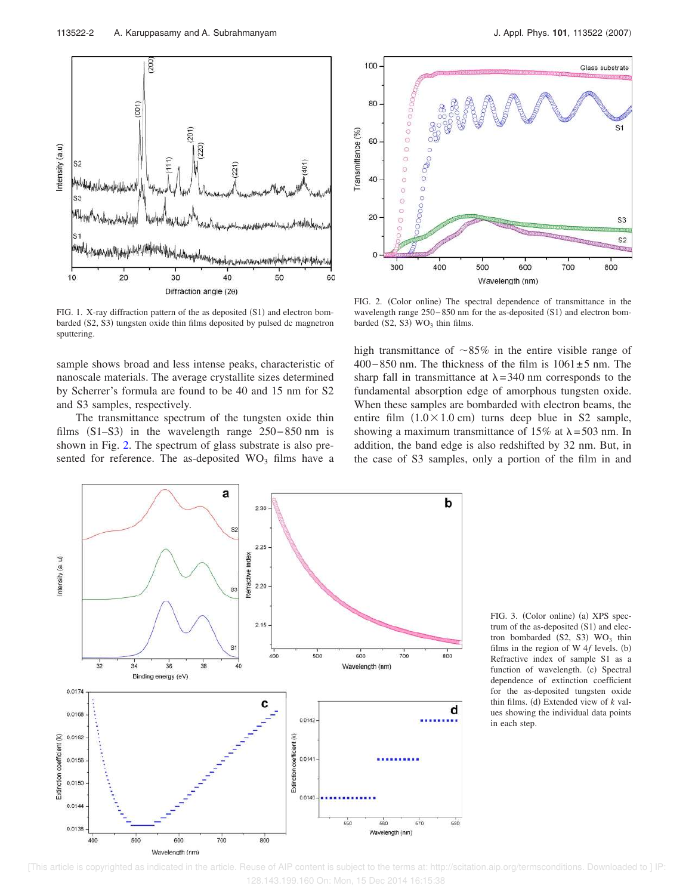FIG. 1. X-ray diffraction pattern of the as deposited  $(S1)$  and electron bombarded (S2, S3) tungsten oxide thin films deposited by pulsed dc magnetron sputtering.

sample shows broad and less intense peaks, characteristic of nanoscale materials. The average crystallite sizes determined by Scherrer's formula are found to be 40 and 15 nm for S2 and S3 samples, respectively.

The transmittance spectrum of the tungsten oxide thin films  $(S1–S3)$  in the wavelength range 250–850 nm is shown in Fig. 2. The spectrum of glass substrate is also presented for reference. The as-deposited  $WO<sub>3</sub>$  films have a

FIG. 2. (Color online) The spectral dependence of transmittance in the wavelength range 250–850 nm for the as-deposited (S1) and electron bombarded  $(S2, S3)$  WO<sub>3</sub> thin films.

high transmittance of  $\sim 85\%$  in the entire visible range of 400−850 nm. The thickness of the film is 1061±5 nm. The sharp fall in transmittance at  $\lambda = 340$  nm corresponds to the fundamental absorption edge of amorphous tungsten oxide. When these samples are bombarded with electron beams, the entire film  $(1.0 \times 1.0 \text{ cm})$  turns deep blue in S2 sample, showing a maximum transmittance of  $15\%$  at  $\lambda = 503$  nm. In addition, the band edge is also redshifted by 32 nm. But, in the case of S3 samples, only a portion of the film in and

FIG. 3. (Color online) (a) XPS spectrum of the as-deposited  $(S1)$  and electron bombarded  $(S2, S3)$  WO<sub>3</sub> thin films in the region of W  $4f$  levels. (b) Refractive index of sample S1 as a function of wavelength. (c) Spectral dependence of extinction coefficient for the as-deposited tungsten oxide thin films. (d) Extended view of  $k$  values showing the individual data points in each step.





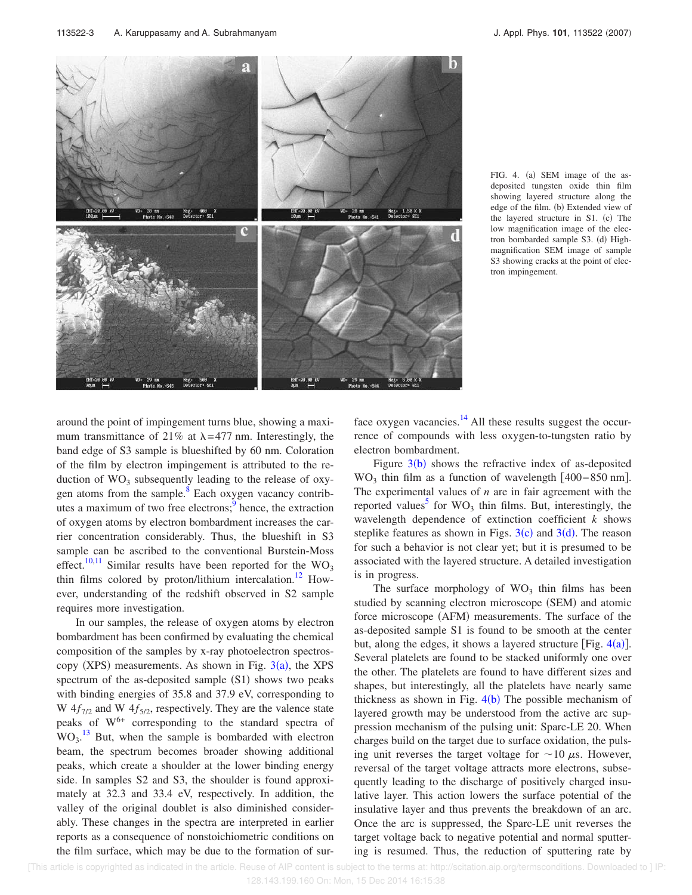

FIG. 4. (a) SEM image of the asdeposited tungsten oxide thin film showing layered structure along the edge of the film. (b) Extended view of the layered structure in S1. (c) The low magnification image of the electron bombarded sample S3. (d) Highmagnification SEM image of sample S3 showing cracks at the point of electron impingement.

around the point of impingement turns blue, showing a maximum transmittance of 21% at  $\lambda = 477$  nm. Interestingly, the band edge of S3 sample is blueshifted by 60 nm. Coloration of the film by electron impingement is attributed to the reduction of  $WO_3$  subsequently leading to the release of oxygen atoms from the sample.<sup>8</sup> Each oxygen vacancy contributes a maximum of two free electrons;<sup>9</sup> hence, the extraction of oxygen atoms by electron bombardment increases the carrier concentration considerably. Thus, the blueshift in S3 sample can be ascribed to the conventional Burstein-Moss effect.<sup>10,11</sup> Similar results have been reported for the WO<sub>3</sub> thin films colored by proton/lithium intercalation.<sup>12</sup> However, understanding of the redshift observed in S2 sample requires more investigation.

In our samples, the release of oxygen atoms by electron bombardment has been confirmed by evaluating the chemical composition of the samples by x-ray photoelectron spectroscopy (XPS) measurements. As shown in Fig.  $3(a)$ , the XPS spectrum of the as-deposited sample (S1) shows two peaks with binding energies of 35.8 and 37.9 eV, corresponding to W  $4f_{7/2}$  and W  $4f_{5/2}$ , respectively. They are the valence state peaks of  $W^{6+}$  corresponding to the standard spectra of  $WO<sub>3</sub>$ .<sup>13</sup> But, when the sample is bombarded with electron beam, the spectrum becomes broader showing additional peaks, which create a shoulder at the lower binding energy side. In samples S2 and S3, the shoulder is found approximately at 32.3 and 33.4 eV, respectively. In addition, the valley of the original doublet is also diminished considerably. These changes in the spectra are interpreted in earlier reports as a consequence of nonstoichiometric conditions on the film surface, which may be due to the formation of surface oxygen vacancies. $^{14}$  All these results suggest the occurrence of compounds with less oxygen-to-tungsten ratio by electron bombardment.

Figure  $3(b)$  shows the refractive index of as-deposited WO<sub>3</sub> thin film as a function of wavelength  $[400-850$  nm]. The experimental values of *n* are in fair agreement with the reported values<sup>5</sup> for  $WO_3$  thin films. But, interestingly, the wavelength dependence of extinction coefficient *k* shows steplike features as shown in Figs.  $3(c)$  and  $3(d)$ . The reason for such a behavior is not clear yet; but it is presumed to be associated with the layered structure. A detailed investigation is in progress.

The surface morphology of  $WO<sub>3</sub>$  thin films has been studied by scanning electron microscope (SEM) and atomic force microscope (AFM) measurements. The surface of the as-deposited sample S1 is found to be smooth at the center but, along the edges, it shows a layered structure [Fig.  $4(a)$ ]. Several platelets are found to be stacked uniformly one over the other. The platelets are found to have different sizes and shapes, but interestingly, all the platelets have nearly same thickness as shown in Fig.  $4(b)$  The possible mechanism of layered growth may be understood from the active arc suppression mechanism of the pulsing unit: Sparc-LE 20. When charges build on the target due to surface oxidation, the pulsing unit reverses the target voltage for  $\sim$ 10  $\mu$ s. However, reversal of the target voltage attracts more electrons, subsequently leading to the discharge of positively charged insulative layer. This action lowers the surface potential of the insulative layer and thus prevents the breakdown of an arc. Once the arc is suppressed, the Sparc-LE unit reverses the target voltage back to negative potential and normal sputtering is resumed. Thus, the reduction of sputtering rate by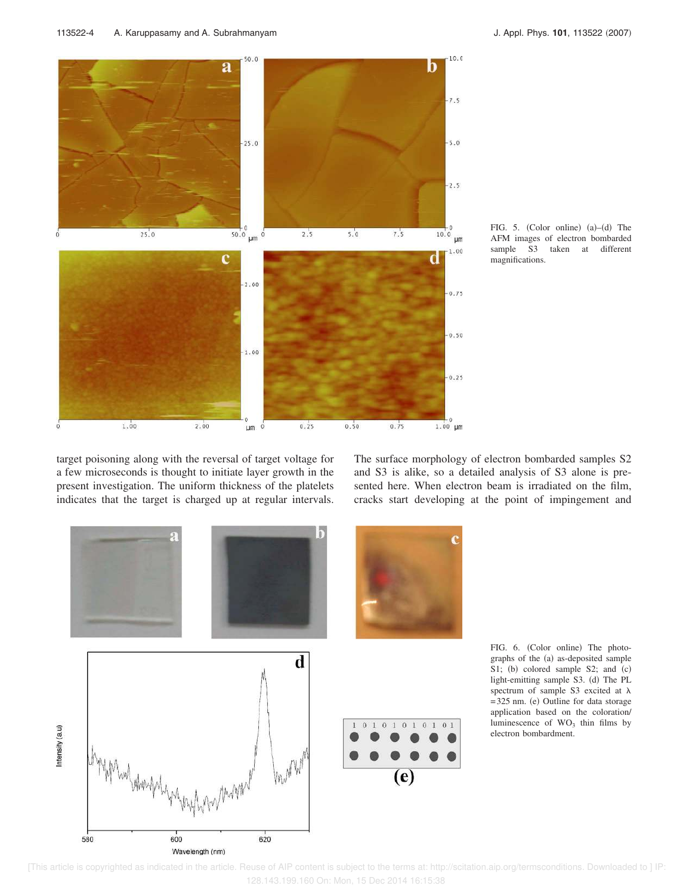

FIG. 5. (Color online)  $(a)$ - $(d)$  The AFM images of electron bombarded sample S3 taken at different magnifications.

target poisoning along with the reversal of target voltage for a few microseconds is thought to initiate layer growth in the present investigation. The uniform thickness of the platelets indicates that the target is charged up at regular intervals. The surface morphology of electron bombarded samples S2 and S3 is alike, so a detailed analysis of S3 alone is presented here. When electron beam is irradiated on the film, cracks start developing at the point of impingement and



FIG. 6. (Color online) The photographs of the (a) as-deposited sample S1; (b) colored sample S2; and (c) light-emitting sample S3. (d) The PL spectrum of sample S3 excited at  $\lambda$ =325 nm. (e) Outline for data storage application based on the coloration/ luminescence of  $WO<sub>3</sub>$  thin films by electron bombardment.

 [This article is copyrighted as indicated in the article. Reuse of AIP content is subject to the terms at: http://scitation.aip.org/termsconditions. Downloaded to ] IP: 128.143.199.160 On: Mon, 15 Dec 2014 16:15:38